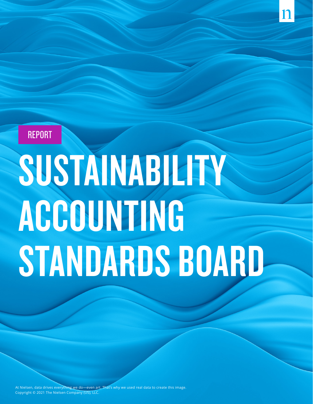

# **SUSTAINABILITY** ACCOUNTING STANDARDS BOARD

At Nielsen, data drives everything we do—even art. That's why we used real data to create this image Copyright © 2021 The Nielsen Company (US), LLC.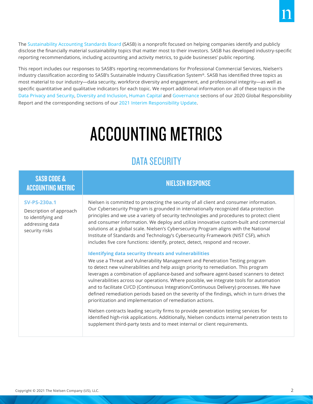The [Sustainability Accounting Standards Board](https://www.sasb.org/) (SASB) is a nonprofit focused on helping companies identify and publicly disclose the financially material sustainability topics that matter most to their investors. SASB has developed industry-specific reporting recommendations, including accounting and activity metrics, to guide businesses' public reporting.

This report includes our responses to SASB's reporting recommendations for Professional Commercial Services, Nielsen's industry classification according to SASB's Sustainable Industry Classification System®. SASB has identified three topics as most material to our industry—data security, workforce diversity and engagement, and professional integrity—as well as specific quantitative and qualitative indicators for each topic. We report additional information on all of these topics in the [Data Privacy and Security](https://microsites.nielsen.com/globalresponsibilityreport/our-company/data-privacy-and-security/), [Diversity and Inclusion,](https://microsites.nielsen.com/globalresponsibilityreport/our-company/diversity-and-inclusion/) [Human Capital](https://microsites.nielsen.com/globalresponsibilityreport/our-company/human-capital/) and [Governance](https://microsites.nielsen.com/globalresponsibilityreport/our-company/governance/) sections of our 2020 Global Responsibility Report and the corresponding sections of our [2021 Interim Responsibility Update.](https://microsites.nielsen.com/globalresponsibilityreport/2021-interim-responsibility-update)

# ACCOUNTING METRICS

# DATA SECURITY

# SASB CODE & ACCOUNTING METRIC NEEDS AND ACCOUNTING METRIC NIELSEN RESPONSE

# **SV-PS-230a.1**

Description of approach to identifying and addressing data security risks

Nielsen is committed to protecting the security of all client and consumer information. Our Cybersecurity Program is grounded in internationally recognized data protection principles and we use a variety of security technologies and procedures to protect client and consumer information. We deploy and utilize innovative custom-built and commercial solutions at a global scale. Nielsen's Cybersecurity Program aligns with the National Institute of Standards and Technology's Cybersecurity Framework (NIST CSF), which includes five core functions: identify, protect, detect, respond and recover.

# **Identifying data security threats and vulnerabilities**

We use a Threat and Vulnerability Management and Penetration Testing program to detect new vulnerabilities and help assign priority to remediation. This program leverages a combination of appliance-based and software agent-based scanners to detect vulnerabilities across our operations. Where possible, we integrate tools for automation and to facilitate CI/CD (Continuous Integration/Continuous Delivery) processes. We have defined remediation periods based on the severity of the findings, which in turn drives the prioritization and implementation of remediation actions.

Nielsen contracts leading security firms to provide penetration testing services for identified high-risk applications. Additionally, Nielsen conducts internal penetration tests to supplement third-party tests and to meet internal or client requirements.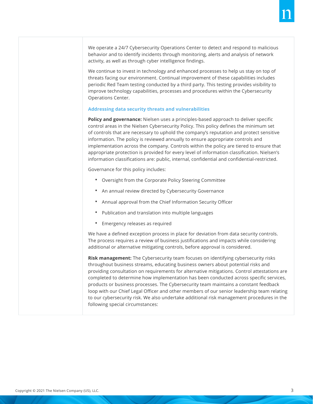We operate a 24/7 Cybersecurity Operations Center to detect and respond to malicious behavior and to identify incidents through monitoring, alerts and analysis of network activity, as well as through cyber intelligence findings.

We continue to invest in technology and enhanced processes to help us stay on top of threats facing our environment. Continual improvement of these capabilities includes periodic Red Team testing conducted by a third party. This testing provides visibility to improve technology capabilities, processes and procedures within the Cybersecurity Operations Center.

# **Addressing data security threats and vulnerabilities**

**Policy and governance:** Nielsen uses a principles-based approach to deliver specific control areas in the Nielsen Cybersecurity Policy. This policy defines the minimum set of controls that are necessary to uphold the company's reputation and protect sensitive information. The policy is reviewed annually to ensure appropriate controls and implementation across the company. Controls within the policy are tiered to ensure that appropriate protection is provided for every level of information classification. Nielsen's information classifications are: public, internal, confidential and confidential-restricted.

Governance for this policy includes:

- Oversight from the Corporate Policy Steering Committee
- An annual review directed by Cybersecurity Governance
- Annual approval from the Chief Information Security Officer
- Publication and translation into multiple languages
- Emergency releases as required

We have a defined exception process in place for deviation from data security controls. The process requires a review of business justifications and impacts while considering additional or alternative mitigating controls, before approval is considered.

**Risk management:** The Cybersecurity team focuses on identifying cybersecurity risks throughout business streams, educating business owners about potential risks and providing consultation on requirements for alternative mitigations. Control attestations are completed to determine how implementation has been conducted across specific services, products or business processes. The Cybersecurity team maintains a constant feedback loop with our Chief Legal Officer and other members of our senior leadership team relating to our cybersecurity risk. We also undertake additional risk management procedures in the following special circumstances: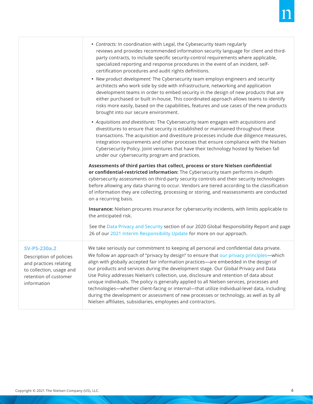|                                                                                                                                              | • Contracts: In coordination with Legal, the Cybesecurity team regularly<br>reviews and provides recommended information security language for client and third-<br>party contracts, to include specific security-control requirements where applicable,<br>specialized reporting and response procedures in the event of an incident, self-<br>certification procedures and audit rights definitions.<br>• New product development: The Cybersecurity team employs engineers and security<br>architects who work side by side with infrastructure, networking and application<br>development teams in order to embed security in the design of new products that are<br>either purchased or built in-house. This coordinated approach allows teams to identify<br>risks more easily, based on the capabilities, features and use cases of the new products<br>brought into our secure environment. |
|----------------------------------------------------------------------------------------------------------------------------------------------|-----------------------------------------------------------------------------------------------------------------------------------------------------------------------------------------------------------------------------------------------------------------------------------------------------------------------------------------------------------------------------------------------------------------------------------------------------------------------------------------------------------------------------------------------------------------------------------------------------------------------------------------------------------------------------------------------------------------------------------------------------------------------------------------------------------------------------------------------------------------------------------------------------|
|                                                                                                                                              | • Acquisitions and divestitures: The Cybersecurity team engages with acquisitions and<br>divestitures to ensure that security is established or maintained throughout these<br>transactions. The acquisition and divestiture processes include due diligence measures,<br>integration requirements and other processes that ensure compliance with the Nielsen<br>Cybersecurity Policy. Joint ventures that have their technology hosted by Nielsen fall<br>under our cybersecurity program and practices.                                                                                                                                                                                                                                                                                                                                                                                          |
|                                                                                                                                              | Assessments of third parties that collect, process or store Nielsen confidential<br>or confidential-restricted information: The Cybersecurity team performs in-depth<br>cybersecurity assessments on third-party security controls and their security technologies<br>before allowing any data sharing to occur. Vendors are tiered according to the classification<br>of information they are collecting, processing or storing, and reassessments are conducted<br>on a recurring basis.                                                                                                                                                                                                                                                                                                                                                                                                          |
|                                                                                                                                              | Insurance: Nielsen procures insurance for cybersecurity incidents, with limits applicable to<br>the anticipated risk.<br>See the Data Privacy and Security section of our 2020 Global Responsibility Report and page<br>26 of our 2021 Interim Responsibility Update for more on our approach.                                                                                                                                                                                                                                                                                                                                                                                                                                                                                                                                                                                                      |
| <b>SV-PS-230a.2</b><br>Description of policies<br>and practices relating<br>to collection, usage and<br>retention of customer<br>information | We take seriously our commitment to keeping all personal and confidential data private.<br>We follow an approach of "privacy by design" to ensure that our privacy principles-which<br>align with globally accepted fair information practices—are embedded in the design of<br>our products and services during the development stage. Our Global Privacy and Data<br>Use Policy addresses Nielsen's collection, use, disclosure and retention of data about<br>unique individuals. The policy is generally applied to all Nielsen services, processes and<br>technologies-whether client-facing or internal-that utilize individual-level data, including<br>during the development or assessment of new processes or technology, as well as by all<br>Nielsen affiliates, subsidiaries, employees and contractors.                                                                               |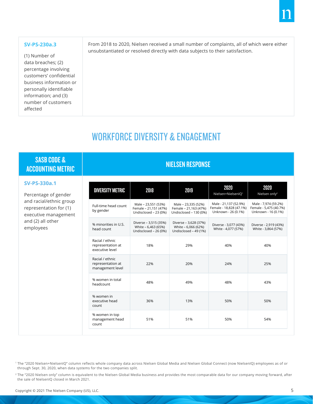# **SV-PS-230a.3**

(1) Number of data breaches; (2) percentage involving customers' confidential business information or personally identifiable information; and (3) number of customers affected

From 2018 to 2020, Nielsen received a small number of complaints, all of which were either unsubstantiated or resolved directly with data subjects to their satisfaction.

# WORKFORCE DIVERSITY & ENGAGEMENT

# SASB CODE & ACCOUNTING METRIC NETWORK AND ACCOUNTING METRIC

# **SV-PS-330a.1**

Percentage of gender and racial/ethnic group representation for (1) executive management and (2) all other employees

| <b>DIVERSITY METRIC</b>                                  | 2018                                                                  | 2019                                                                   | 2020<br>Nielsen+NielsenIQ <sup>1</sup>                                  | 2020<br>Nielsen only <sup>2</sup>                                     |
|----------------------------------------------------------|-----------------------------------------------------------------------|------------------------------------------------------------------------|-------------------------------------------------------------------------|-----------------------------------------------------------------------|
| Full-time head count<br>by gender                        | Male - 23,551 (53%)<br>Female - 21,151 (47%)<br>Undisclosed - 23 (0%) | Male - 23,335 (52%)<br>Female - 21,163 (47%)<br>Undisclosed - 130 (0%) | Male - 21,137 (52.9%)<br>Female - 18,828 (47.1%)<br>Unknown - 26 (0.1%) | Male - 7,974 (59.2%)<br>Female - 5,475 (40.7%)<br>Unknown - 16 (0.1%) |
| % minorities in U.S.<br>head count                       | Diverse - 3,515 (35%)<br>White - 6,463 (65%)<br>Undisclosed - 26 (0%) | Diverse - 3,628 (37%)<br>White - 6,066 (62%)<br>Undisclosed - 49 (1%)  | Diverse - 3,077 (43%)<br>White - 4,077 (57%)                            | Diverse - 2,919 (43%)<br>White - 3,864 (57%)                          |
| Racial / ethnic<br>representation at<br>executive level  | 18%                                                                   | 29%                                                                    | 40%                                                                     | 40%                                                                   |
| Racial / ethnic<br>representation at<br>management level | 22%                                                                   | 20%                                                                    | 24%                                                                     | 25%                                                                   |
| % women in total<br>headcount                            | 48%                                                                   | 49%                                                                    | 48%                                                                     | 43%                                                                   |
| % women in<br>executive head<br>count                    | 36%                                                                   | 13%                                                                    | 50%                                                                     | 50%                                                                   |
| % women in top<br>management head<br>count               | 51%                                                                   | 51%                                                                    | 50%                                                                     | 54%                                                                   |
|                                                          |                                                                       |                                                                        |                                                                         |                                                                       |

' The "2020 Nielsen+NielsenIQ" column reflects whole company data across Nielsen Global Media and Nielsen Global Connect (now NielsenIQ) employees as of or through Sept. 30, 2020, when data systems for the two companies split.

<sup>2</sup> The "2020 Nielsen only" column is equivalent to the Nielsen Global Media business and provides the most comparable data for our company moving forward, after the sale of NielsenIQ closed in March 2021.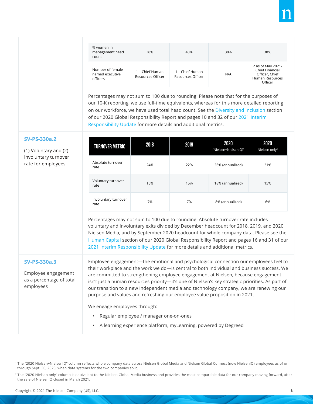| % women in<br>management head<br>count          | 38%                                  | 40%                                  | 38% | 38%                                                                                         |
|-------------------------------------------------|--------------------------------------|--------------------------------------|-----|---------------------------------------------------------------------------------------------|
| Number of female<br>named executive<br>officers | 1 – Chief Human<br>Resources Officer | 1 – Chief Human<br>Resources Officer | N/A | 2 as of May 2021-<br>Chief Financial<br>Officer, Chief<br><b>Human Resources</b><br>Officer |

Percentages may not sum to 100 due to rounding. Please note that for the purposes of our 10-K reporting, we use full-time equivalents, whereas for this more detailed reporting on our workforce, we have used total head count. See the [Diversity and Inclusion](https://microsites.nielsen.com/globalresponsibilityreport/this-report/detailed-disclosures/diversity-and-inclusion-disclosure/) section of our 2020 Global Responsibility Report and pages 10 and 32 of our [2021 Interim](https://microsites.nielsen.com/globalresponsibilityreport/2021-interim-responsibility-update)  [Responsibility Update](https://microsites.nielsen.com/globalresponsibilityreport/2021-interim-responsibility-update) for more details and additional metrics.

# **SV-PS-330a.2**

(1) Voluntary and (2) involuntary turnover rate for employees

| <b>TURNOVER METRIC</b>       | 2018 | 2019 | 2020<br>(Nielsen+NielsenIQ) <sup>1</sup> | 2020<br>Nielsen only <sup>2</sup> |
|------------------------------|------|------|------------------------------------------|-----------------------------------|
| Absolute turnover<br>rate    | 24%  | 22%  | 26% (annualized)                         | 21%                               |
| Voluntary turnover<br>rate   | 16%  | 15%  | 18% (annualized)                         | 15%                               |
| Involuntary turnover<br>rate | 7%   | 7%   | 8% (annualized)                          | 6%                                |

Percentages may not sum to 100 due to rounding. Absolute turnover rate includes voluntary and involuntary exits divided by December headcount for 2018, 2019, and 2020 Nielsen Media, and by September 2020 headcount for whole company data. Please see the [Human Capital](https://microsites.nielsen.com/globalresponsibilityreport/this-report/detailed-disclosures/human-capital-disclosure/) section of our 2020 Global Responsibility Report and pages 16 and 31 of our [2021 Interim Responsibility Update](https://microsites.nielsen.com/globalresponsibilityreport/2021-interim-responsibility-update") for more details and additional metrics.

# **SV-PS-330a.3**

Employee engagement as a percentage of total employees

Employee engagement—the emotional and psychological connection our employees feel to their workplace and the work we do—is central to both individual and business success. We are committed to strengthening employee engagement at Nielsen, because engagement isn't just a human resources priority—it's one of Nielsen's key strategic priorities. As part of our transition to a new independent media and technology company, we are renewing our purpose and values and refreshing our employee value proposition in 2021.

We engage employees through:

- Regular employee / manager one-on-ones
- A learning experience platform, myLearning, powered by Degreed

<sup>2</sup> The "2020 Nielsen only" column is equivalent to the Nielsen Global Media business and provides the most comparable data for our company moving forward, after the sale of NielsenIQ closed in March 2021.

<sup>1</sup> The "2020 Nielsen+NielsenIQ" column reflects whole company data across Nielsen Global Media and Nielsen Global Connect (now NielsenIQ) employees as of or through Sept. 30, 2020, when data systems for the two companies split.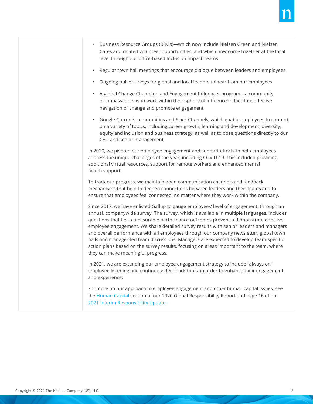- Business Resource Groups (BRGs)—which now include Nielsen Green and Nielsen Cares and related volunteer opportunities, and which now come together at the local level through our office-based Inclusion Impact Teams
- Regular town hall meetings that encourage dialogue between leaders and employees
- Ongoing pulse surveys for global and local leaders to hear from our employees
- A global Change Champion and Engagement Influencer program—a community of ambassadors who work within their sphere of influence to facilitate effective navigation of change and promote engagement
- Google Currents communities and Slack Channels, which enable employees to connect on a variety of topics, including career growth, learning and development, diversity, equity and inclusion and business strategy, as well as to pose questions directly to our CEO and senior management

In 2020, we pivoted our employee engagement and support efforts to help employees address the unique challenges of the year, including COVID-19. This included providing additional virtual resources, support for remote workers and enhanced mental health support.

To track our progress, we maintain open communication channels and feedback mechanisms that help to deepen connections between leaders and their teams and to ensure that employees feel connected, no matter where they work within the company.

Since 2017, we have enlisted Gallup to gauge employees' level of engagement, through an annual, companywide survey. The survey, which is available in multiple languages, includes questions that tie to measurable performance outcomes proven to demonstrate effective employee engagement. We share detailed survey results with senior leaders and managers and overall performance with all employees through our company newsletter, global town halls and manager-led team discussions. Managers are expected to develop team-specific action plans based on the survey results, focusing on areas important to the team, where they can make meaningful progress.

In 2021, we are extending our employee engagement strategy to include "always on" employee listening and continuous feedback tools, in order to enhance their engagement and experience.

For more on our approach to employee engagement and other human capital issues, see the [Human Capital](https://microsites.nielsen.com/globalresponsibilityreport/our-company/human-capital/) section of our 2020 Global Responsibility Report and page 16 of our [2021 Interim Responsibility Update](https://microsites.nielsen.com/globalresponsibilityreport/2021-interim-responsibility-update).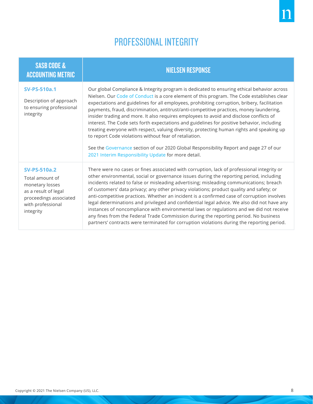# PROFESSIONAL INTEGRITY

| <b>SASB CODE &amp;</b><br><b>ACCOUNTING METRIC</b>                                                                                            | <b>NIELSEN RESPONSE</b>                                                                                                                                                                                                                                                                                                                                                                                                                                                                                                                                                                                                                                                                                                                                                                                                                                                                |  |  |  |
|-----------------------------------------------------------------------------------------------------------------------------------------------|----------------------------------------------------------------------------------------------------------------------------------------------------------------------------------------------------------------------------------------------------------------------------------------------------------------------------------------------------------------------------------------------------------------------------------------------------------------------------------------------------------------------------------------------------------------------------------------------------------------------------------------------------------------------------------------------------------------------------------------------------------------------------------------------------------------------------------------------------------------------------------------|--|--|--|
| <b>SV-PS-510a.1</b><br>Description of approach<br>to ensuring professional<br>integrity                                                       | Our global Compliance & Integrity program is dedicated to ensuring ethical behavior across<br>Nielsen. Our Code of Conduct is a core element of this program. The Code establishes clear<br>expectations and guidelines for all employees, prohibiting corruption, bribery, facilitation<br>payments, fraud, discrimination, antitrust/anti-competitive practices, money laundering,<br>insider trading and more. It also requires employees to avoid and disclose conflicts of<br>interest. The Code sets forth expectations and guidelines for positive behavior, including<br>treating everyone with respect, valuing diversity, protecting human rights and speaking up<br>to report Code violations without fear of retaliation.<br>See the Governance section of our 2020 Global Responsibility Report and page 27 of our<br>2021 Interim Responsibility Update for more detail. |  |  |  |
| <b>SV-PS-510a.2</b><br>Total amount of<br>monetary losses<br>as a result of legal<br>proceedings associated<br>with professional<br>integrity | There were no cases or fines associated with corruption, lack of professional integrity or<br>other environmental, social or governance issues during the reporting period, including<br>incidents related to false or misleading advertising; misleading communications; breach<br>of customers' data privacy; any other privacy violations; product quality and safety; or<br>anti-competitive practices. Whether an incident is a confirmed case of corruption involves<br>legal determinations and privileged and confidential legal advice. We also did not have any<br>instances of noncompliance with environmental laws or regulations and we did not receive<br>any fines from the Federal Trade Commission during the reporting period. No business<br>partners' contracts were terminated for corruption violations during the reporting period.                            |  |  |  |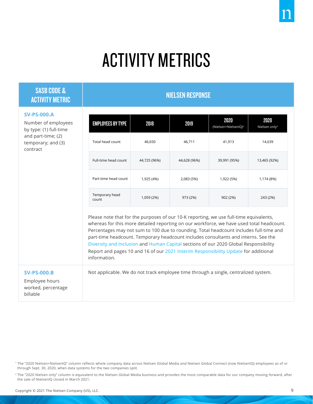# ACTIVITY METRICS

# SASB CODE & ACTIVITY METRIC NEEDS AND ACTIVITY METRIC NIELSEN RESPONSE

# **SV-PS-000.A**

Number of employees by type: (1) full-time and part-time; (2) temporary; and (3) contract

| <b>EMPLOYEES BY TYPE</b> | 2018         | 2019         | 2020<br>(Nielsen+NielsenIQ) <sup>1</sup> | 2020<br>Nielsen only <sup>2</sup> |
|--------------------------|--------------|--------------|------------------------------------------|-----------------------------------|
| Total head count         | 46,650       | 46,711       | 41,913                                   | 14,639                            |
| Full-time head count     | 44,725 (96%) | 44,628 (96%) | 39,991 (95%)                             | 13,465 (92%)                      |
| Part-time head count     | 1,925 (4%)   | 2,083 (5%)   | 1,922 (5%)                               | 1,174 (8%)                        |
| Temporary head<br>count  | 1,059 (2%)   | 973 (2%)     | 902 (2%)                                 | 243 (2%)                          |

Please note that for the purposes of our 10-K reporting, we use full-time equivalents, whereas for this more detailed reporting on our workforce, we have used total headcount. Percentages may not sum to 100 due to rounding. Total headcount includes full-time and part-time headcount. Temporary headcount includes consultants and interns. See the [Diversity and Inclusion](https://microsites.nielsen.com/globalresponsibilityreport/this-report/detailed-disclosures/diversity-and-inclusion-disclosure/) and [Human Capital](https://microsites.nielsen.com/globalresponsibilityreport/this-report/detailed-disclosures/human-capital-disclosure/) sections of our 2020 Global Responsibility Report and pages 10 and 16 of our [2021 Interim Responsibility Update](https://microsites.nielsen.com/globalresponsibilityreport/2021-interim-responsibility-update) for additional information.

Not applicable. We do not track employee time through a single, centralized system.

# **SV-PS-000.B**

Employee hours worked, percentage billable

1 The "2020 Nielsen+NielsenIQ" column reflects whole company data across Nielsen Global Media and Nielsen Global Connect (now NielsenIQ) employees as of or through Sept. 30, 2020, when data systems for the two companies split.

<sup>2</sup> The "2020 Nielsen only" column is equivalent to the Nielsen Global Media business and provides the most comparable data for our company moving forward, after the sale of NielsenIQ closed in March 2021.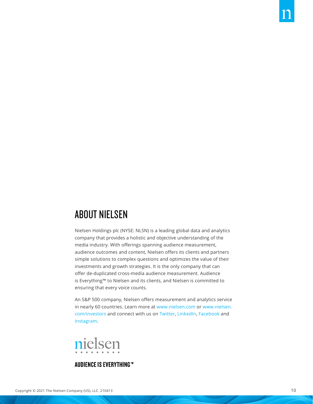# ABOUT NIELSEN

Nielsen Holdings plc (NYSE: NLSN) is a leading global data and analytics company that provides a holistic and objective understanding of the media industry. With offerings spanning audience measurement, audience outcomes and content, Nielsen offers its clients and partners simple solutions to complex questions and optimizes the value of their investments and growth strategies. It is the only company that can offer de-duplicated cross-media audience measurement. Audience is Everything™ to Nielsen and its clients, and Nielsen is committed to ensuring that every voice counts.

An S&P 500 company, Nielsen offers measurement and analytics service in nearly 60 countries. Learn more at [www.nielsen.com](https://www.nielsen.com) or [www.nielsen.](https://www.nielsen.com/investors) [com/investors](https://www.nielsen.com/investors) and connect with us on [Twitter](https://twitter.com/Nielsen), [LinkedIn,](https://www.linkedin.com/company/nielsen/) [Facebook](https://www.facebook.com/Nielsen/) and [Instagram](https://www.instagram.com/lifeatnielsen/).



# **AUDIENCE IS EVERYTHING™**